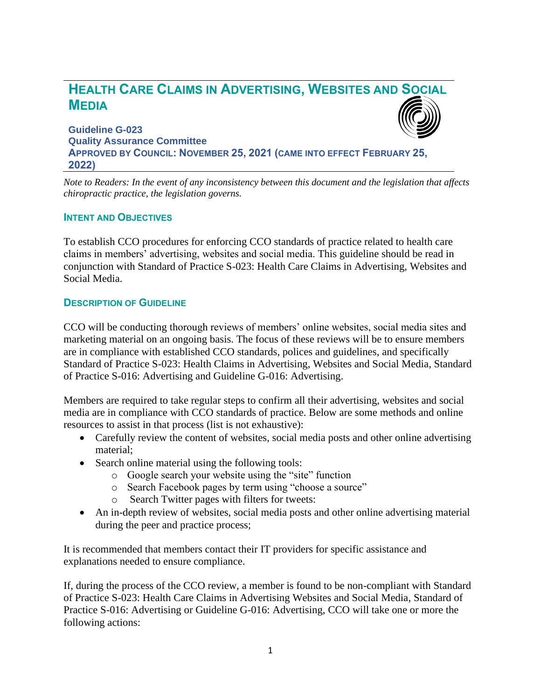# **HEALTH CARE CLAIMS IN ADVERTISING, WEBSITES AND SOCIAL MEDIA**

**Guideline G-023 Quality Assurance Committee APPROVED BY COUNCIL: NOVEMBER 25, 2021 (CAME INTO EFFECT FEBRUARY 25, 2022)**

*Note to Readers: In the event of any inconsistency between this document and the legislation that affects chiropractic practice, the legislation governs.*

#### **INTENT AND OBJECTIVES**

To establish CCO procedures for enforcing CCO standards of practice related to health care claims in members' advertising, websites and social media. This guideline should be read in conjunction with Standard of Practice S-023: Health Care Claims in Advertising, Websites and Social Media.

#### **DESCRIPTION OF GUIDELINE**

CCO will be conducting thorough reviews of members' online websites, social media sites and marketing material on an ongoing basis. The focus of these reviews will be to ensure members are in compliance with established CCO standards, polices and guidelines, and specifically Standard of Practice S-023: Health Claims in Advertising, Websites and Social Media, Standard of Practice S-016: Advertising and Guideline G-016: Advertising.

Members are required to take regular steps to confirm all their advertising, websites and social media are in compliance with CCO standards of practice. Below are some methods and online resources to assist in that process (list is not exhaustive):

- Carefully review the content of websites, social media posts and other online advertising material;
- Search online material using the following tools:
	- o Google search your website using the "site" function
	- o Search Facebook pages by term using "choose a source"
	- o Search Twitter pages with filters for tweets:
- An in-depth review of websites, social media posts and other online advertising material during the peer and practice process;

It is recommended that members contact their IT providers for specific assistance and explanations needed to ensure compliance.

If, during the process of the CCO review, a member is found to be non-compliant with Standard of Practice S-023: Health Care Claims in Advertising Websites and Social Media, Standard of Practice S-016: Advertising or Guideline G-016: Advertising, CCO will take one or more the following actions: